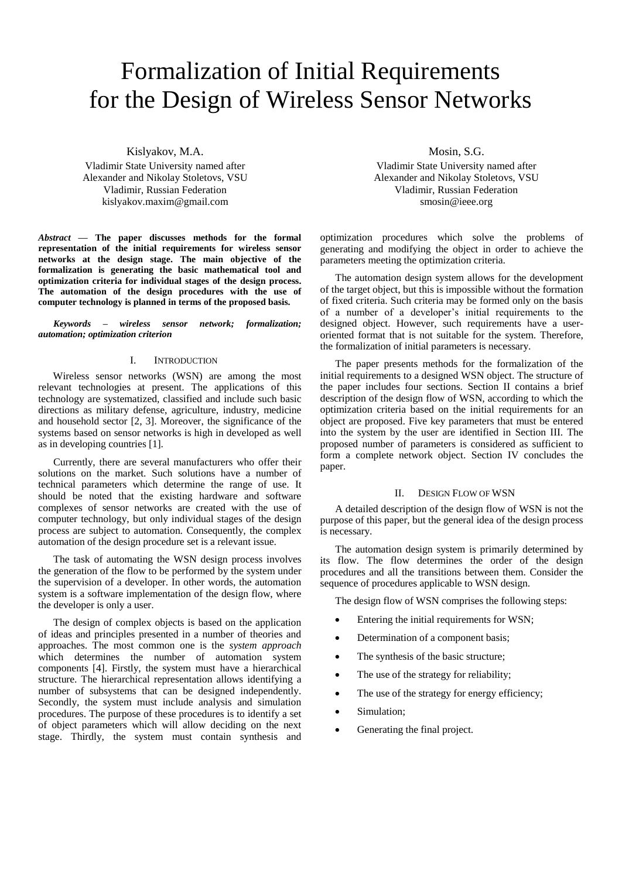# Formalization of Initial Requirements for the Design of Wireless Sensor Networks

Kislyakov, M.A.

Vladimir State University named after Alexander and Nikolay Stoletovs, VSU Vladimir, Russian Federation kislyakov.maxim@gmail.com

*Abstract* **— The paper discusses methods for the formal representation of the initial requirements for wireless sensor networks at the design stage. The main objective of the formalization is generating the basic mathematical tool and optimization criteria for individual stages of the design process. The automation of the design procedures with the use of computer technology is planned in terms of the proposed basis.**

*Keywords – wireless sensor network; formalization; automation; optimization criterion*

## I. INTRODUCTION

Wireless sensor networks (WSN) are among the most relevant technologies at present. The applications of this technology are systematized, classified and include such basic directions as military defense, agriculture, industry, medicine and household sector [2, 3]. Moreover, the significance of the systems based on sensor networks is high in developed as well as in developing countries [1].

Currently, there are several manufacturers who offer their solutions on the market. Such solutions have a number of technical parameters which determine the range of use. It should be noted that the existing hardware and software complexes of sensor networks are created with the use of computer technology, but only individual stages of the design process are subject to automation. Consequently, the complex automation of the design procedure set is a relevant issue.

The task of automating the WSN design process involves the generation of the flow to be performed by the system under the supervision of a developer. In other words, the automation system is a software implementation of the design flow, where the developer is only a user.

The design of complex objects is based on the application of ideas and principles presented in a number of theories and approaches. The most common one is the *system approach* which determines the number of automation system components [4]. Firstly, the system must have a hierarchical structure. The hierarchical representation allows identifying a number of subsystems that can be designed independently. Secondly, the system must include analysis and simulation procedures. The purpose of these procedures is to identify a set of object parameters which will allow deciding on the next stage. Thirdly, the system must contain synthesis and

Mosin, S.G.

Vladimir State University named after Alexander and Nikolay Stoletovs, VSU Vladimir, Russian Federation smosin@ieee.org

optimization procedures which solve the problems of generating and modifying the object in order to achieve the parameters meeting the optimization criteria.

The automation design system allows for the development of the target object, but this is impossible without the formation of fixed criteria. Such criteria may be formed only on the basis of a number of a developer's initial requirements to the designed object. However, such requirements have a useroriented format that is not suitable for the system. Therefore, the formalization of initial parameters is necessary.

The paper presents methods for the formalization of the initial requirements to a designed WSN object. The structure of the paper includes four sections. Section II contains a brief description of the design flow of WSN, according to which the optimization criteria based on the initial requirements for an object are proposed. Five key parameters that must be entered into the system by the user are identified in Section III. The proposed number of parameters is considered as sufficient to form a complete network object. Section IV concludes the paper.

#### II. DESIGN FLOW OF WSN

A detailed description of the design flow of WSN is not the purpose of this paper, but the general idea of the design process is necessary.

The automation design system is primarily determined by its flow. The flow determines the order of the design procedures and all the transitions between them. Consider the sequence of procedures applicable to WSN design.

The design flow of WSN comprises the following steps:

- Entering the initial requirements for WSN;
- Determination of a component basis;
- The synthesis of the basic structure;
- The use of the strategy for reliability;
- The use of the strategy for energy efficiency;
- Simulation;
- Generating the final project.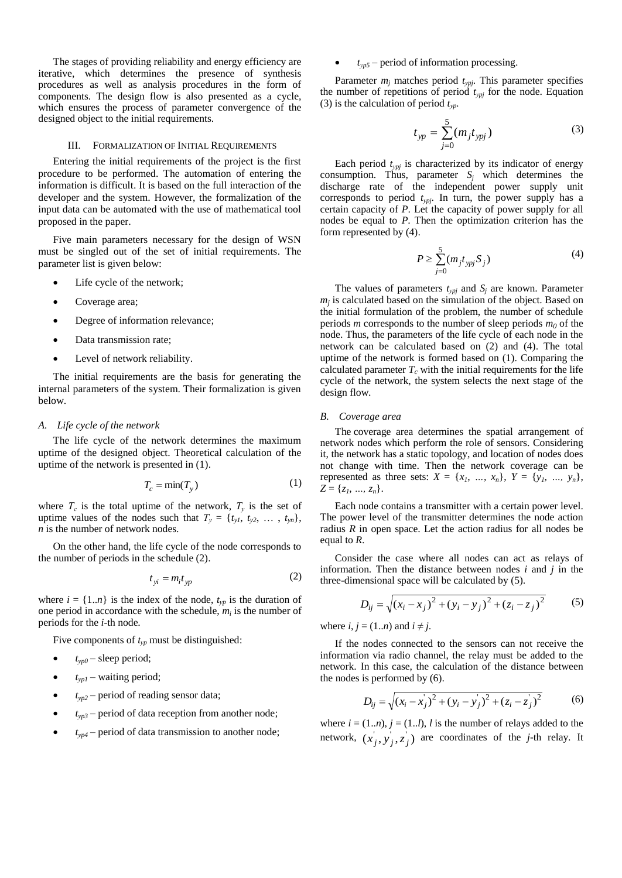The stages of providing reliability and energy efficiency are iterative, which determines the presence of synthesis procedures as well as analysis procedures in the form of components. The design flow is also presented as a cycle, which ensures the process of parameter convergence of the designed object to the initial requirements.

#### III. FORMALIZATION OF INITIAL REQUIREMENTS

Entering the initial requirements of the project is the first procedure to be performed. The automation of entering the information is difficult. It is based on the full interaction of the developer and the system. However, the formalization of the input data can be automated with the use of mathematical tool proposed in the paper.

Five main parameters necessary for the design of WSN must be singled out of the set of initial requirements. The parameter list is given below:

- Life cycle of the network;
- Coverage area;
- Degree of information relevance;
- Data transmission rate;
- Level of network reliability.

The initial requirements are the basis for generating the internal parameters of the system. Their formalization is given below.

## *A. Life cycle of the network*

The life cycle of the network determines the maximum uptime of the designed object. Theoretical calculation of the uptime of the network is presented in (1).

$$
T_c = \min(T_y) \tag{1}
$$

where  $T_c$  is the total uptime of the network,  $T_y$  is the set of uptime values of the nodes such that  $T_y = \{t_{y1}, t_{y2}, \dots, t_{yn}\},\$ *n* is the number of network nodes.

On the other hand, the life cycle of the node corresponds to the number of periods in the schedule (2).

$$
t_{yi} = m_i t_{yp}
$$
 (2)

where  $i = \{1..n\}$  is the index of the node,  $t_{vp}$  is the duration of one period in accordance with the schedule,  $m_i$  is the number of periods for the *i*-th node.

Five components of  $t_{yp}$  must be distinguished:

- *tуp0* sleep period;
- $t_{yp1}$  waiting period;
- *t*<sub>*yp2</sub>* period of reading sensor data;</sub>
- $t_{\nu\nu\lambda}$  period of data reception from another node;
- $t_{yp4}$  period of data transmission to another node;

*tуp5* – period of information processing.

Parameter  $m_j$  matches period  $t_{vpj}$ . This parameter specifies the number of repetitions of period *tуpj* for the node. Equation (3) is the calculation of period *tуp*.

$$
t_{yp} = \sum_{j=0}^{5} (m_j t_{ypj})
$$
 (3)

Each period *tуpj* is characterized by its indicator of energy consumption. Thus, parameter  $S_j$  which determines the discharge rate of the independent power supply unit corresponds to period *tуpj*. In turn, the power supply has a certain capacity of *P*. Let the capacity of power supply for all nodes be equal to *P*. Then the optimization criterion has the form represented by (4).

$$
P \ge \sum_{j=0}^{5} (m_j t_{\text{ypj}} S_j)
$$
 (4)

The values of parameters  $t_{ypj}$  and  $S_j$  are known. Parameter *mj* is calculated based on the simulation of the object. Based on the initial formulation of the problem, the number of schedule periods *m* corresponds to the number of sleep periods  $m_0$  of the node. Thus, the parameters of the life cycle of each node in the network can be calculated based on (2) and (4). The total uptime of the network is formed based on (1). Comparing the calculated parameter  $T_c$  with the initial requirements for the life cycle of the network, the system selects the next stage of the design flow.

### *B. Coverage area*

The coverage area determines the spatial arrangement of network nodes which perform the role of sensors. Considering it, the network has a static topology, and location of nodes does not change with time. Then the network coverage can be represented as three sets:  $X = \{x_1, ..., x_n\}, Y = \{y_1, ..., y_n\},$  $Z = \{z_1, \ldots, z_n\}.$ 

Each node contains a transmitter with a certain power level. The power level of the transmitter determines the node action radius *R* in open space. Let the action radius for all nodes be equal to *R*.

Consider the case where all nodes can act as relays of information. Then the distance between nodes *i* and *j* in the three-dimensional space will be calculated by (5).

$$
D_{ij} = \sqrt{(x_i - x_j)^2 + (y_i - y_j)^2 + (z_i - z_j)^2}
$$
 (5)

where  $i, j = (1..n)$  and  $i \neq j$ .

If the nodes connected to the sensors can not receive the information via radio channel, the relay must be added to the network. In this case, the calculation of the distance between the nodes is performed by (6).

$$
D_{ij} = \sqrt{(x_i - x_j)^2 + (y_i - y_j)^2 + (z_i - z_j)^2}
$$
 (6)

where  $i = (1..n), j = (1..l), l$  is the number of relays added to the network,  $(x_j, y_j, z_j)$  are coordinates of the *j*-th relay. It